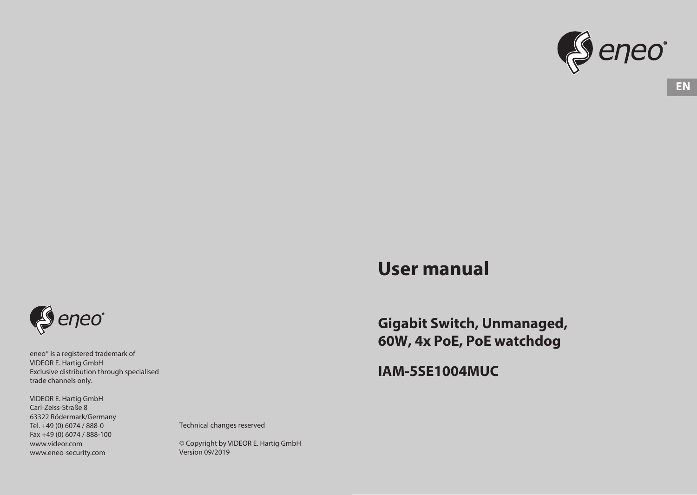

# **User manual**

**Gigabit Switch, Unmanaged, 60W, 4x PoE, PoE watchdog**

**IAM-5SE1004MUC**



eneo® is a registered trademark of VIDEOR E. Hartig GmbH Exclusive distribution through specialised trade channels only.

VIDEOR E. Hartig GmbH Carl-Zeiss-Straße 8 63322 Rödermark/Germany Tel. +49 (0) 6074 / 888-0 Fax +49 (0) 6074 / 888-100 www.videor.com www.eneo-security.com

Technical changes reserved

© Copyright by VIDEOR E. Hartig GmbH Version 09/2019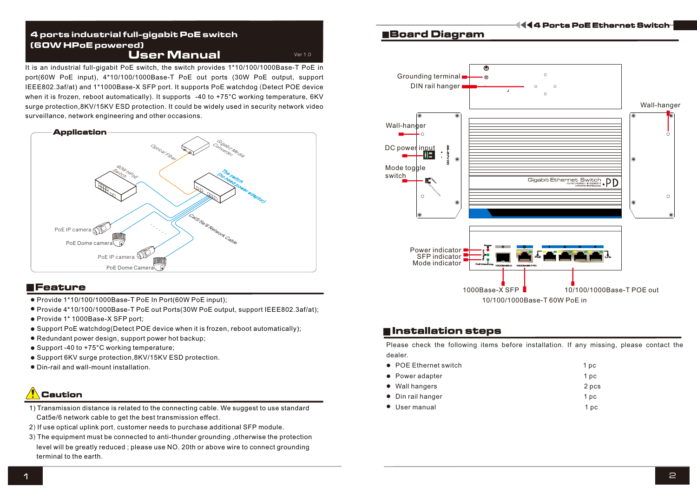### User Manual 4 ports industrial full-gigabit PoE switch (60W HPoE powered)

It is an industrial full-gigabit PoE switch, the switch provides 1\*10/100/1000Base-T PoE in port(60W PoE input), 4\*10/100/1000Base-T PoE out ports (30W PoE output, support IEEE802.3af/at) and 1\*1000Base-X SFP port. It supports PoE watchdog (Detect POE device when it is frozen, reboot automatically). It supports -40 to +75°C working temperature, 6KV surge protection,8KV/15KV ESD protection. It could be widely used in security network video surveillance, network engineering and other occasions.

Ver 1.0



## Feature

- Provide 1\*10/100/1000Base-T PoE In Port(60W PoE input);
- Provide 4\*10/100/1000Base-T PoE out Ports(30W PoE output, support IEEE802.3af/at);
- Provide 1\* 1000Base-X SFP port;
- Support PoE watchdog(Detect POE device when it is frozen, reboot automatically);
- Redundant power design, support power hot backup;
- Support -40 to +75°C working temperature;
- Support 6KV surge protection, 8KV/15KV ESD protection.
- Din-rail and wall-mount installation.

## Caution

- 1) Transmission distance is related to the connecting cable. We suggest to use standard Cat5e/6 network cable to get the best transmission effect.
- 2) If use optical uplink port, customer needs to purchase additional SFP module.
- 3) The equipment must be connected to anti-thunder grounding ,otherwise the protection level will be greatly reduced ; please use NO. 20th or above wire to connect grounding terminal to the earth.

## Board Diagram



## **E** Installation steps

Please check the following items before installation. If any missing, please contact the dealer.

| • POE Ethernet switch | 1 pc  |
|-----------------------|-------|
| • Power adapter       | 1 pc  |
| • Wall hangers        | 2 pcs |
| • Din rail hanger     | 1 pc  |
| • User manual         | 1 pc  |
|                       |       |

#### $\overline{{\bf 1}}$ 44 A Ports PoE Ethernet Switch-